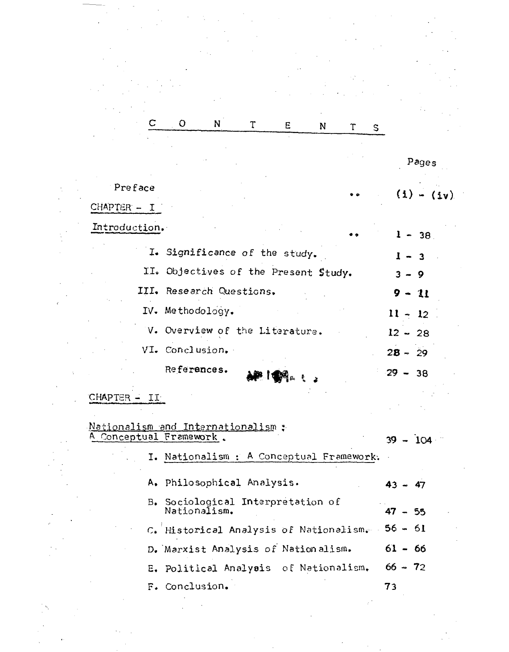|                                                               | $\circ$ | N.                                                | T | E | N | $\tau$ | S. |              |
|---------------------------------------------------------------|---------|---------------------------------------------------|---|---|---|--------|----|--------------|
|                                                               |         |                                                   |   |   |   |        |    |              |
|                                                               |         |                                                   |   |   |   |        |    | Pages        |
| Preface                                                       |         |                                                   |   |   |   |        |    |              |
| $CHAPTER - I$                                                 |         |                                                   |   |   |   |        |    | $(i) - (iv)$ |
| Introduction.                                                 |         |                                                   |   |   |   |        |    |              |
|                                                               |         |                                                   |   |   |   |        |    | $1 - 38$     |
|                                                               |         | I. Significance of the study.                     |   |   |   |        |    | $-3$         |
|                                                               |         | II. Objectives of the Present Study.              |   |   |   |        |    | $3 - 9$      |
|                                                               |         | III. Research Questions.                          |   |   |   |        |    | $9 - 11$     |
|                                                               |         | IV. Methodology.                                  |   |   |   |        |    | $11 - 12$    |
|                                                               |         | V. Overview of the Literature.                    |   |   |   |        |    | $12 - 28$    |
|                                                               |         | VI. Conclusion.                                   |   |   |   |        |    | $28 - 29$    |
|                                                               |         | References.                                       |   |   |   |        |    |              |
|                                                               |         |                                                   |   |   |   |        |    | $29 -$<br>38 |
| CHAPTER - II                                                  |         |                                                   |   |   |   |        |    |              |
|                                                               |         |                                                   |   |   |   |        |    |              |
| Nationalism and Internationalism :<br>A Conceptual Framework. |         |                                                   |   |   |   |        |    | $-104$<br>39 |
|                                                               |         | I. Nationalism : A Conceptual Framework.          |   |   |   |        |    |              |
|                                                               |         |                                                   |   |   |   |        |    |              |
|                                                               |         | A. Philosophical Analysis.                        |   |   |   |        |    | $43 - 47$    |
|                                                               |         | B. Sociological Interpretation of<br>Nationalism. |   |   |   |        |    | $47 - 55$    |
|                                                               |         | C. Historical Analysis of Nationalism.            |   |   |   |        |    | $56 - 61$    |
|                                                               |         |                                                   |   |   |   |        |    |              |
|                                                               |         | D. Marxist Analysis of Nationalism.               |   |   |   |        |    | $61 - 66$    |
|                                                               |         | E. Political Analysis of Nationalism.             |   |   |   |        |    | $66 - 72$    |
|                                                               |         | F. Conclusion.                                    |   |   |   |        |    | 73           |
|                                                               |         |                                                   |   |   |   |        |    |              |
|                                                               |         |                                                   |   |   |   |        |    |              |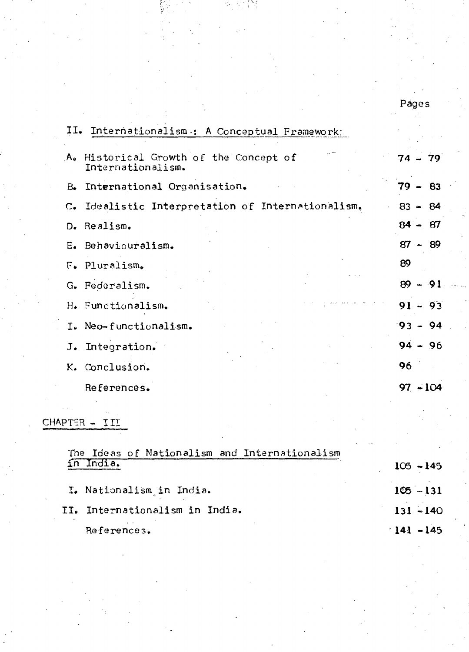#### Pages

| II. Internationalism : A Conceptual Framework:              |            |  |
|-------------------------------------------------------------|------------|--|
| A. Historical Growth of the Concept of<br>Internationalism. | $74 - 79$  |  |
| B. International Organisation.                              | $79 - 83$  |  |
| C. Idealistic Interpretation of Internationalism.           | $83 - 84$  |  |
| D. Realism.                                                 | $84 - 87$  |  |
| E. Behaviouralism.                                          | $87 - 89$  |  |
| F. Pluralism.                                               | 89         |  |
| G. Federalism.                                              | $89 - 91$  |  |
| H. Functionalism.                                           | $91 - 93$  |  |
| I. Neo-functionalism.                                       | $93 - 94$  |  |
| J. Integration.                                             | $94 - 96$  |  |
| K. Conclusion.                                              | 96         |  |
| References.                                                 | $97 - 104$ |  |

### CHAPTER - III

| The Ideas of Nationalism and Internationalism | $105 - 145$ |
|-----------------------------------------------|-------------|
| I. Nationalism in India.                      | $105 - 131$ |
| II. Internationalism in India.                | $131 - 140$ |
| References.                                   | $141 - 145$ |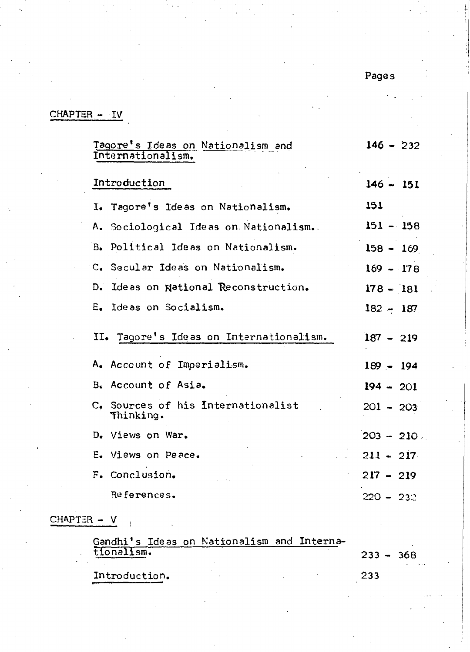Pages

### CHAPTER - IV

| Tagore's Ideas on Nationalism and<br>Internationalism. | $146 - 232$ |
|--------------------------------------------------------|-------------|
| Introduction                                           | $146 - 151$ |
| I. Tagore's Ideas on Nationalism.                      | 151         |
| A. Sociological Ideas on Nationalism.                  | $151 - 158$ |
| B. Political Ideas on Nationalism.                     | $158 - 169$ |
| C. Secular Ideas on Nationalism.                       | $169 - 178$ |
| Ideas on National Reconstruction.<br>D.                | $178 - 181$ |
| E. Ideas on Socialism.                                 | $182 - 187$ |
| II. Tagore's Ideas on Internationalism.                | $187 - 219$ |
| A. Account of Imperialism.                             | $189 - 194$ |
| B. Account of Asia.                                    | $194 - 201$ |
| C. Sources of his Internationalist<br>Thinking.        | $201 - 203$ |
| D. Views on War.                                       | $203 - 210$ |
| E. Views on Peace.                                     | $211 - 217$ |
| F. Conclusion.                                         | $217 - 219$ |
| References.                                            | $220 - 232$ |
|                                                        |             |

# CHAPTER - V

 $\frac{1}{2}$ 

| Gandhi's Ideas on Nationalism and Interna- |  |             |  |
|--------------------------------------------|--|-------------|--|
| tionalism.                                 |  | $233 - 368$ |  |
| Introduction.                              |  | 233         |  |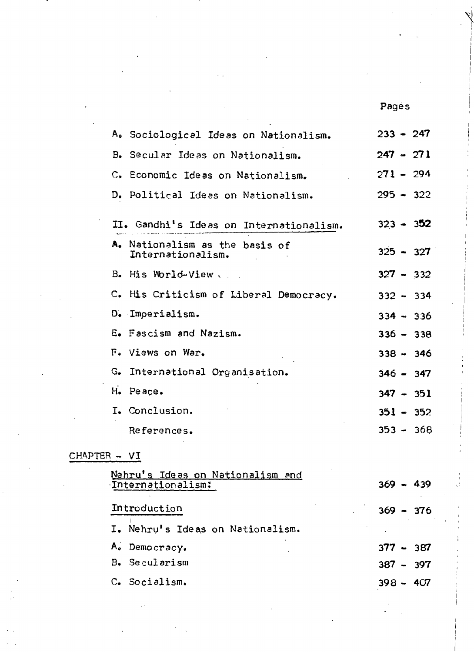Pages

 $\mathbf{N}$ I I I

| A. Sociological Ideas on Nationalism.               | $233 - 247$ |
|-----------------------------------------------------|-------------|
| B. Secular Ideas on Nationalism.                    | $247 - 271$ |
| C. Economic Ideas on Nationalism.                   | $271 - 294$ |
| D. Political Ideas on Nationalism.                  | $295 - 322$ |
| II. Gandhi's Ideas on Internationalism.             | $323 - 352$ |
| A. Nationalism as the basis of<br>Internationalism. | $325 - 327$ |
| B. His World-View                                   | $327 - 332$ |
| C. His Criticism of Liberal Democracy.              | $332 - 334$ |
| D. Imperialism.                                     | $334 - 336$ |
| E. Fascism and Nazism.                              | $336 - 338$ |
| F. Views on War.                                    | $338 - 346$ |
| G. International Organisation.                      | $346 - 347$ |
| H. Peace.                                           | $347 - 351$ |
| I. Conclusion.                                      | $351 - 352$ |
| References.                                         | $353 - 368$ |
|                                                     |             |

## $CHAPTER - VI$

| Nehru's Ideas on Nationalism and<br>Internationalism: | $369 - 439$ |
|-------------------------------------------------------|-------------|
| Introduction                                          | $369 - 376$ |
| I. Nehru's Ideas on Nationalism.                      |             |
| A. Democracy.                                         | $377 - 387$ |
| <b>B.</b> Secularism                                  | $387 - 397$ |
| C. Socialism.                                         | $398 - 407$ |